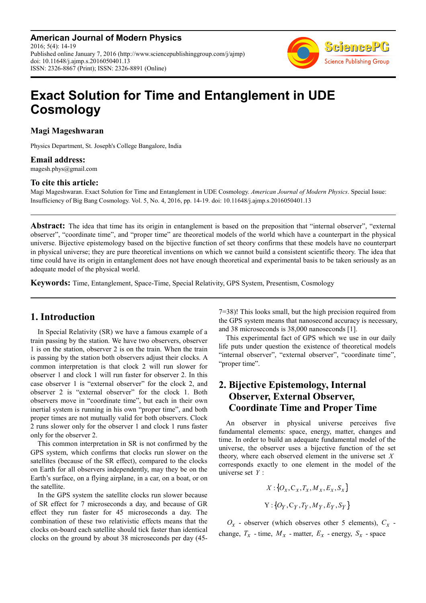**American Journal of Modern Physics** 2016; 5(4): 14-19 Published online January 7, 2016 (http://www.sciencepublishinggroup.com/j/ajmp) doi: 10.11648/j.ajmp.s.2016050401.13 ISSN: 2326-8867 (Print); ISSN: 2326-8891 (Online)



# **Exact Solution for Time and Entanglement in UDE Cosmology**

### **Magi Mageshwaran**

Physics Department, St. Joseph's College Bangalore, India

#### **Email address:**

magesh.phys@gmail.com

#### **To cite this article:**

Magi Mageshwaran. Exact Solution for Time and Entanglement in UDE Cosmology. *American Journal of Modern Physics*. Special Issue: Insufficiency of Big Bang Cosmology. Vol. 5, No. 4, 2016, pp. 14-19. doi: 10.11648/j.ajmp.s.2016050401.13

**Abstract:** The idea that time has its origin in entanglement is based on the preposition that "internal observer", "external observer", "coordinate time", and "proper time" are theoretical models of the world which have a counterpart in the physical universe. Bijective epistemology based on the bijective function of set theory confirms that these models have no counterpart in physical universe; they are pure theoretical inventions on which we cannot build a consistent scientific theory. The idea that time could have its origin in entanglement does not have enough theoretical and experimental basis to be taken seriously as an adequate model of the physical world.

**Keywords:** Time, Entanglement, Space-Time, Special Relativity, GPS System, Presentism, Cosmology

## **1. Introduction**

In Special Relativity (SR) we have a famous example of a train passing by the station. We have two observers, observer 1 is on the station, observer 2 is on the train. When the train is passing by the station both observers adjust their clocks. A common interpretation is that clock 2 will run slower for observer 1 and clock 1 will run faster for observer 2. In this case observer 1 is "external observer" for the clock 2, and observer 2 is "external observer" for the clock 1. Both observers move in "coordinate time", but each in their own inertial system is running in his own "proper time", and both proper times are not mutually valid for both observers. Clock 2 runs slower only for the observer 1 and clock 1 runs faster only for the observer 2.

This common interpretation in SR is not confirmed by the GPS system, which confirms that clocks run slower on the satellites (because of the SR effect), compared to the clocks on Earth for all observers independently, may they be on the Earth's surface, on a flying airplane, in a car, on a boat, or on the satellite.

In the GPS system the satellite clocks run slower because of SR effect for 7 microseconds a day, and because of GR effect they run faster for 45 microseconds a day. The combination of these two relativistic effects means that the clocks on-board each satellite should tick faster than identical clocks on the ground by about 38 microseconds per day (457=38)! This looks small, but the high precision required from the GPS system means that nanosecond accuracy is necessary, and 38 microseconds is 38,000 nanoseconds [1].

This experimental fact of GPS which we use in our daily life puts under question the existence of theoretical models "internal observer", "external observer", "coordinate time", "proper time".

# **2. Bijective Epistemology, Internal Observer, External Observer, Coordinate Time and Proper Time**

An observer in physical universe perceives five fundamental elements: space, energy, matter, changes and time. In order to build an adequate fundamental model of the universe, the observer uses a bijective function of the set theory, where each observed element in the universe set *X* corresponds exactly to one element in the model of the universe set *Y* :

$$
X: \{O_x, C_x, T_x, M_x, E_x, S_x\}
$$
  

$$
Y: \{O_y, C_y, T_y, M_y, E_y, S_y\}
$$

 $O_x$  - observer (which observes other 5 elements),  $C_x$  change,  $T_x$  - time,  $M_x$  - matter,  $E_x$  - energy,  $S_x$  - space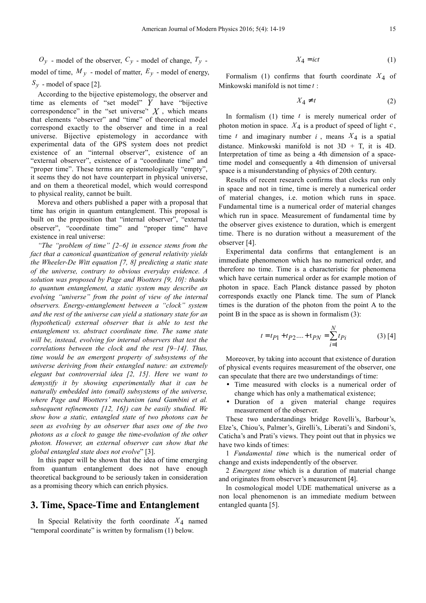$O_V$  - model of the observer,  $C_V$  - model of change,  $T_V$  model of time,  $M_v$  - model of matter,  $E_v$  - model of energy,  $S_y$  - model of space [2].

According to the bijective epistemology, the observer and time as elements of "set model"  $Y$  have "bijective correspondence" in the "set universe"  $X$ , which means that elements "observer" and "time" of theoretical model correspond exactly to the observer and time in a real universe. Bijective epistemology in accordance with experimental data of the GPS system does not predict existence of an "internal observer", existence of an "external observer", existence of a "coordinate time" and "proper time". These terms are epistemologically "empty", it seems they do not have counterpart in physical universe, and on them a theoretical model, which would correspond to physical reality, cannot be built.

Moreva and others published a paper with a proposal that time has origin in quantum entanglement. This proposal is built on the preposition that "internal observer", "external observer", "coordinate time" and "proper time" have existence in real universe:

*"The "problem of time" [2–6] in essence stems from the fact that a canonical quantization of general relativity yields the Wheeler-De Witt equation [7, 8] predicting a static state of the universe, contrary to obvious everyday evidence. A solution was proposed by Page and Wootters [9, 10]: thanks to quantum entanglement, a static system may describe an evolving "universe" from the point of view of the internal observers. Energy-entanglement between a "clock" system and the rest of the universe can yield a stationary state for an (hypothetical) external observer that is able to test the entanglement vs. abstract coordinate time. The same state will be, instead, evolving for internal observers that test the correlations between the clock and the rest [9–14]. Thus, time would be an emergent property of subsystems of the universe deriving from their entangled nature: an extremely elegant but controversial idea [2, 15]. Here we want to demystify it by showing experimentally that it can be naturally embedded into (small) subsystems of the universe, where Page and Wootters' mechanism (and Gambini et al. subsequent refinements [12, 16]) can be easily studied. We show how a static, entangled state of two photons can be seen as evolving by an observer that uses one of the two photons as a clock to gauge the time-evolution of the other photon. However, an external observer can show that the global entangled state does not evolve*" [3].

In this paper will be shown that the idea of time emerging from quantum entanglement does not have enough theoretical background to be seriously taken in consideration as a promising theory which can enrich physics.

### **3. Time, Space-Time and Entanglement**

In Special Relativity the forth coordinate  $X_4$  named "temporal coordinate" is written by formalism (1) below.

$$
X_4 = ict \tag{1}
$$

Formalism (1) confirms that fourth coordinate *X*4 of Minkowski manifold is not time *t* :

$$
X_4 \neq t \tag{2}
$$

In formalism (1) time *t* is merely numerical order of photon motion in space.  $X_4$  is a product of speed of light  $c$ , time  $t$  and imaginary number  $i$ , means  $X_4$  is a spatial distance. Minkowski manifold is not  $3D + T$ , it is  $4D$ . Interpretation of time as being a 4th dimension of a spacetime model and consequently a 4th dimension of universal space is a misunderstanding of physics of 20th century.

Results of recent research confirms that clocks run only in space and not in time, time is merely a numerical order of material changes, i.e. motion which runs in space. Fundamental time is a numerical order of material changes which run in space. Measurement of fundamental time by the observer gives existence to duration, which is emergent time. There is no duration without a measurement of the observer [4].

Experimental data confirms that entanglement is an immediate phenomenon which has no numerical order, and therefore no time. Time is a characteristic for phenomena which have certain numerical order as for example motion of photon in space. Each Planck distance passed by photon corresponds exactly one Planck time. The sum of Planck times is the duration of the photon from the point A to the point B in the space as is shown in formalism (3):

$$
t = t_{P1} + t_{P2} + t_{PN} = \sum_{i=1}^{N} t_{Pi}
$$
 (3) [4]

Moreover, by taking into account that existence of duration of physical events requires measurement of the observer, one can speculate that there are two understandings of time:

- Time measured with clocks is a numerical order of change which has only a mathematical existence;
- Duration of a given material change requires measurement of the observer.

These two understandings bridge Rovelli's, Barbour's, Elze's, Chiou's, Palmer's, Girelli's, Liberati's and Sindoni's, Caticha's and Prati's views. They point out that in physics we have two kinds of times:

1 *Fundamental time* which is the numerical order of change and exists independently of the observer.

2 *Emergent time* which is a duration of material change and originates from observer's measurement [4].

In cosmological model UDE mathematical universe as a non local phenomenon is an immediate medium between entangled quanta [5].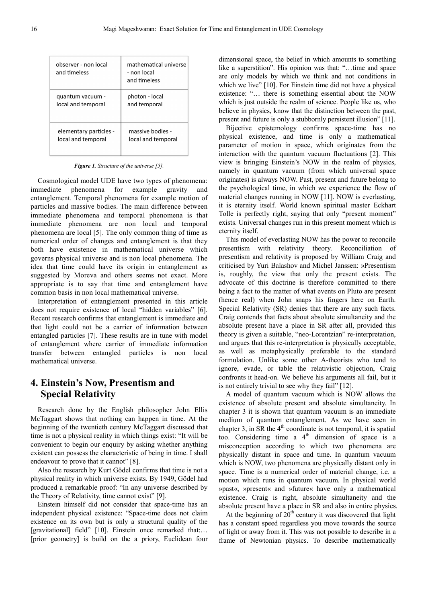| observer - non local<br>and timeless | mathematical universe<br>- non local<br>and timeless |
|--------------------------------------|------------------------------------------------------|
| quantum vacuum -                     | photon - local                                       |
| local and temporal                   | and temporal                                         |
| elementary particles -               | massive bodies -                                     |
| local and temporal                   | local and temporal                                   |

*Figure 1. Structure of the universe [5].* 

Cosmological model UDE have two types of phenomena: immediate phenomena for example gravity and entanglement. Temporal phenomena for example motion of particles and massive bodies. The main difference between immediate phenomena and temporal phenomena is that immediate phenomena are non local and temporal phenomena are local [5]. The only common thing of time as numerical order of changes and entanglement is that they both have existence in mathematical universe which governs physical universe and is non local phenomena. The idea that time could have its origin in entanglement as suggested by Moreva and others seems not exact. More appropriate is to say that time and entanglement have common basis in non local mathematical universe.

Interpretation of entanglement presented in this article does not require existence of local "hidden variables" [6]. Recent research confirms that entanglement is immediate and that light could not be a carrier of information between entangled particles [7]. These results are in tune with model of entanglement where carrier of immediate information transfer between entangled particles is non local mathematical universe.

## **4. Einstein's Now, Presentism and Special Relativity**

Research done by the English philosopher John Ellis McTaggart shows that nothing can happen in time. At the beginning of the twentieth century McTaggart discussed that time is not a physical reality in which things exist: "It will be convenient to begin our enquiry by asking whether anything existent can possess the characteristic of being in time. I shall endeavour to prove that it cannot" [8].

Also the research by Kurt Gödel confirms that time is not a physical reality in which universe exists. By 1949, Gödel had produced a remarkable proof: "In any universe described by the Theory of Relativity, time cannot exist" [9].

Einstein himself did not consider that space-time has an independent physical existence: "Space-time does not claim existence on its own but is only a structural quality of the [gravitational] field" [10]. Einstein once remarked that:... [prior geometry] is build on the a priory, Euclidean four dimensional space, the belief in which amounts to something like a superstition". His opinion was that: "…time and space are only models by which we think and not conditions in which we live" [10]. For Einstein time did not have a physical existence: "… there is something essential about the NOW which is just outside the realm of science. People like us, who believe in physics, know that the distinction between the past, present and future is only a stubbornly persistent illusion" [11].

Bijective epistemology confirms space-time has no physical existence, and time is only a mathematical parameter of motion in space, which originates from the interaction with the quantum vacuum fluctuations [2]. This view is bringing Einstein's NOW in the realm of physics, namely in quantum vacuum (from which universal space originates) is always NOW. Past, present and future belong to the psychological time, in which we experience the flow of material changes running in NOW [11]. NOW is everlasting, it is eternity itself. World known spiritual master Eckhart Tolle is perfectly right, saying that only "present moment" exists. Universal changes run in this present moment which is eternity itself.

This model of everlasting NOW has the power to reconcile presentism with relativity theory. Reconciliation of presentism and relativity is proposed by William Craig and criticised by Yuri Balashov and Michel Janssen: »Presentism is, roughly, the view that only the present exists. The advocate of this doctrine is therefore committed to there being a fact to the matter of what events on Pluto are present (hence real) when John snaps his fingers here on Earth. Special Relativity (SR) denies that there are any such facts. Craig contends that facts about absolute simultaneity and the absolute present have a place in SR after all, provided this theory is given a suitable, "neo-Lorentzian" re-interpretation, and argues that this re-interpretation is physically acceptable, as well as metaphysically preferable to the standard formulation. Unlike some other A-theorists who tend to ignore, evade, or table the relativistic objection, Craig confronts it head-on. We believe his arguments all fail, but it is not entirely trivial to see why they fail" [12].

A model of quantum vacuum which is NOW allows the existence of absolute present and absolute simultaneity. In chapter 3 it is shown that quantum vacuum is an immediate medium of quantum entanglement. As we have seen in chapter 3, in SR the  $4<sup>th</sup>$  coordinate is not temporal, it is spatial too. Considering time a  $4<sup>th</sup>$  dimension of space is a misconception according to which two phenomena are physically distant in space and time. In quantum vacuum which is NOW, two phenomena are physically distant only in space. Time is a numerical order of material change, i.e. a motion which runs in quantum vacuum. In physical world »past«, »present« and »future« have only a mathematical existence. Craig is right, absolute simultaneity and the absolute present have a place in SR and also in entire physics.

At the beginning of  $20<sup>th</sup>$  century it was discovered that light has a constant speed regardless you move towards the source of light or away from it. This was not possible to describe in a frame of Newtonian physics. To describe mathematically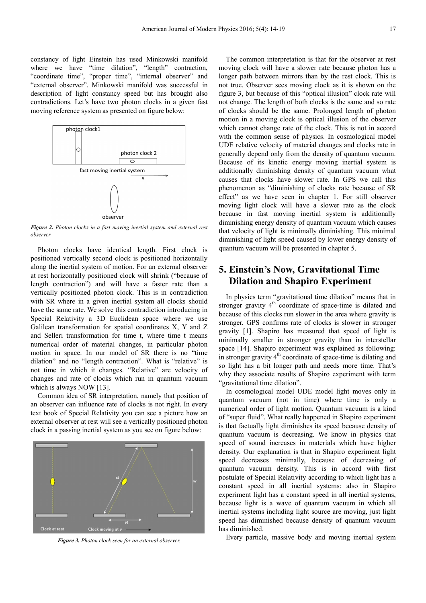constancy of light Einstein has used Minkowski manifold where we have "time dilation", "length" contraction, "coordinate time", "proper time", "internal observer" and "external observer". Minkowski manifold was successful in description of light constancy speed but has brought also contradictions. Let's have two photon clocks in a given fast moving reference system as presented on figure below:



*Figure 2. Photon clocks in a fast moving inertial system and external rest observer* 

Photon clocks have identical length. First clock is positioned vertically second clock is positioned horizontally along the inertial system of motion. For an external observer at rest horizontally positioned clock will shrink ("because of length contraction") and will have a faster rate than a vertically positioned photon clock. This is in contradiction with SR where in a given inertial system all clocks should have the same rate. We solve this contradiction introducing in Special Relativity a 3D Euclidean space where we use Galilean transformation for spatial coordinates X, Y and Z and Selleri transformation for time t, where time t means numerical order of material changes, in particular photon motion in space. In our model of SR there is no "time dilation" and no "length contraction". What is "relative" is not time in which it changes. "Relative" are velocity of changes and rate of clocks which run in quantum vacuum which is always NOW [13].

Common idea of SR interpretation, namely that position of an observer can influence rate of clocks is not right. In every text book of Special Relativity you can see a picture how an external observer at rest will see a vertically positioned photon clock in a passing inertial system as you see on figure below:



*Figure 3. Photon clock seen for an external observer.* 

The common interpretation is that for the observer at rest moving clock will have a slower rate because photon has a longer path between mirrors than by the rest clock. This is not true. Observer sees moving clock as it is shown on the figure 3, but because of this "optical illusion" clock rate will not change. The length of both clocks is the same and so rate of clocks should be the same. Prolonged length of photon motion in a moving clock is optical illusion of the observer which cannot change rate of the clock. This is not in accord with the common sense of physics. In cosmological model UDE relative velocity of material changes and clocks rate in generally depend only from the density of quantum vacuum. Because of its kinetic energy moving inertial system is additionally diminishing density of quantum vacuum what causes that clocks have slower rate. In GPS we call this phenomenon as "diminishing of clocks rate because of SR effect" as we have seen in chapter 1. For still observer moving light clock will have a slower rate as the clock because in fast moving inertial system is additionally diminishing energy density of quantum vacuum which causes that velocity of light is minimally diminishing. This minimal diminishing of light speed caused by lower energy density of quantum vacuum will be presented in chapter 5.

## **5. Einstein's Now, Gravitational Time Dilation and Shapiro Experiment**

In physics term "gravitational time dilation" means that in stronger gravity  $4<sup>th</sup>$  coordinate of space-time is dilated and because of this clocks run slower in the area where gravity is stronger. GPS confirms rate of clocks is slower in stronger gravity [1]. Shapiro has measured that speed of light is minimally smaller in stronger gravity than in interstellar space [14]. Shapiro experiment was explained as following: in stronger gravity  $4<sup>th</sup>$  coordinate of space-time is dilating and so light has a bit longer path and needs more time. That's why they associate results of Shapiro experiment with term "gravitational time dilation".

In cosmological model UDE model light moves only in quantum vacuum (not in time) where time is only a numerical order of light motion. Quantum vacuum is a kind of "super fluid". What really happened in Shapiro experiment is that factually light diminishes its speed because density of quantum vacuum is decreasing. We know in physics that speed of sound increases in materials which have higher density. Our explanation is that in Shapiro experiment light speed decreases minimally, because of decreasing of quantum vacuum density. This is in accord with first postulate of Special Relativity according to which light has a constant speed in all inertial systems: also in Shapiro experiment light has a constant speed in all inertial systems, because light is a wave of quantum vacuum in which all inertial systems including light source are moving, just light speed has diminished because density of quantum vacuum has diminished.

Every particle, massive body and moving inertial system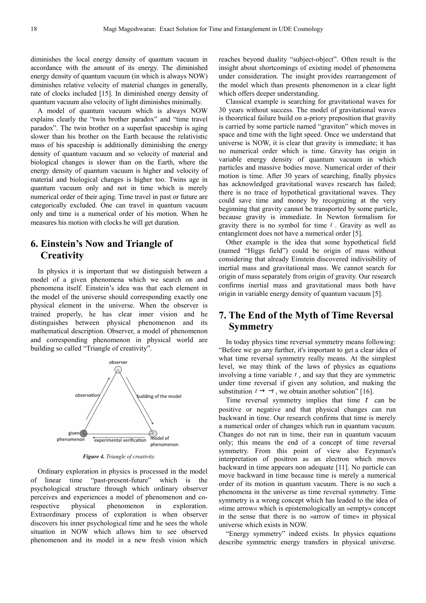diminishes the local energy density of quantum vacuum in accordance with the amount of its energy. The diminished energy density of quantum vacuum (in which is always NOW) diminishes relative velocity of material changes in generally, rate of clocks included [15]. In diminished energy density of quantum vacuum also velocity of light diminishes minimally.

A model of quantum vacuum which is always NOW explains clearly the "twin brother paradox" and "time travel paradox". The twin brother on a superfast spaceship is aging slower than his brother on the Earth because the relativistic mass of his spaceship is additionally diminishing the energy density of quantum vacuum and so velocity of material and biological changes is slower than on the Earth, where the energy density of quantum vacuum is higher and velocity of material and biological changes is higher too. Twins age in quantum vacuum only and not in time which is merely numerical order of their aging. Time travel in past or future are categorically excluded. One can travel in quantum vacuum only and time is a numerical order of his motion. When he measures his motion with clocks he will get duration.

# **6. Einstein's Now and Triangle of Creativity**

In physics it is important that we distinguish between a model of a given phenomena which we search on and phenomena itself. Einstein's idea was that each element in the model of the universe should corresponding exactly one physical element in the universe. When the observer is trained properly, he has clear inner vision and he distinguishes between physical phenomenon and its mathematical description. Observer, a model of phenomenon and corresponding phenomenon in physical world are building so called "Triangle of creativity".



*Figure 4. Triangle of creativity.* 

Ordinary exploration in physics is processed in the model of linear time "past-present-future" which is the psychological structure through which ordinary observer perceives and experiences a model of phenomenon and corespective physical phenomenon in exploration. Extraordinary process of exploration is when observer discovers his inner psychological time and he sees the whole situation in NOW which allows him to see observed phenomenon and its model in a new fresh vision which reaches beyond duality "subject-object". Often result is the insight about shortcomings of existing model of phenomena under consideration. The insight provides rearrangement of the model which than presents phenomenon in a clear light which offers deeper understanding.

Classical example is searching for gravitational waves for 30 years without success. The model of gravitational waves is theoretical failure build on a-priory preposition that gravity is carried by some particle named "graviton" which moves in space and time with the light speed. Once we understand that universe is NOW, it is clear that gravity is immediate; it has no numerical order which is time. Gravity has origin in variable energy density of quantum vacuum in which particles and massive bodies move. Numerical order of their motion is time. After 30 years of searching, finally physics has acknowledged gravitational waves research has failed; there is no trace of hypothetical gravitational waves. They could save time and money by recognizing at the very beginning that gravity cannot be transported by some particle, because gravity is immediate. In Newton formalism for gravity there is no symbol for time *t* . Gravity as well as entanglement does not have a numerical order [5].

Other example is the idea that some hypothetical field (named "Higgs field") could be origin of mass without considering that already Einstein discovered indivisibility of inertial mass and gravitational mass. We cannot search for origin of mass separately from origin of gravity. Our research confirms inertial mass and gravitational mass both have origin in variable energy density of quantum vacuum [5].

## **7. The End of the Myth of Time Reversal Symmetry**

In today physics time reversal symmetry means following: "Before we go any further, it's important to get a clear idea of what time reversal symmetry really means. At the simplest level, we may think of the laws of physics as equations involving a time variable *t* , and say that they are symmetric under time reversal if given any solution, and making the substitution  $t \to -t$ , we obtain another solution" [16].

Time reversal symmetry implies that time *t* can be positive or negative and that physical changes can run backward in time. Our research confirms that time is merely a numerical order of changes which run in quantum vacuum. Changes do not run in time, their run in quantum vacuum only; this means the end of a concept of time reversal symmetry. From this point of view also Feynman's interpretation of positron as an electron which moves backward in time appears non adequate [11]. No particle can move backward in time because time is merely a numerical order of its motion in quantum vacuum. There is no such a phenomena in the universe as time reversal symmetry. Time symmetry is a wrong concept which has leaded to the idea of »time arrow« which is epistemologically an »empty« concept in the sense that there is no »arrow of time« in physical universe which exists in NOW.

"Energy symmetry" indeed exists. In physics equations describe symmetric energy transfers in physical universe.